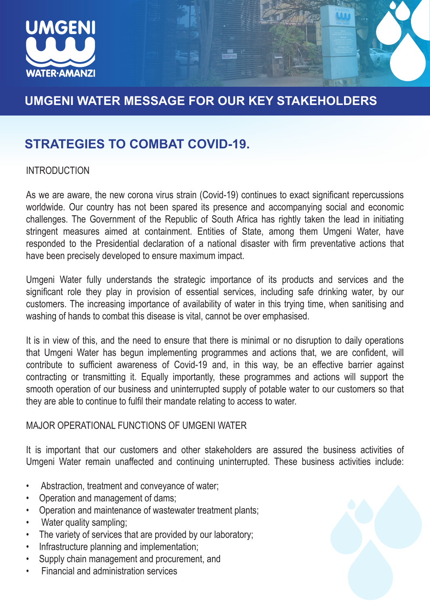

# **UMGENI WATER MESSAGE FOR OUR KEY STAKEHOLDERS**

## **STRATEGIES TO COMBAT COVID-19.**

### INTRODUCTION

As we are aware, the new corona virus strain (Covid-19) continues to exact significant repercussions worldwide. Our country has not been spared its presence and accompanying social and economic challenges. The Government of the Republic of South Africa has rightly taken the lead in initiating stringent measures aimed at containment. Entities of State, among them Umgeni Water, have responded to the Presidential declaration of a national disaster with firm preventative actions that have been precisely developed to ensure maximum impact.

Umgeni Water fully understands the strategic importance of its products and services and the significant role they play in provision of essential services, including safe drinking water, by our customers. The increasing importance of availability of water in this trying time, when sanitising and washing of hands to combat this disease is vital, cannot be over emphasised.

It is in view of this, and the need to ensure that there is minimal or no disruption to daily operations that Umgeni Water has begun implementing programmes and actions that, we are confident, will contribute to sufficient awareness of Covid-19 and, in this way, be an effective barrier against contracting or transmitting it. Equally importantly, these programmes and actions will support the smooth operation of our business and uninterrupted supply of potable water to our customers so that they are able to continue to fulfil their mandate relating to access to water.

#### MAJOR OPERATIONAL FUNCTIONS OF UMGENI WATER

It is important that our customers and other stakeholders are assured the business activities of Umgeni Water remain unaffected and continuing uninterrupted. These business activities include:

- Abstraction, treatment and conveyance of water;
- Operation and management of dams;
- Operation and maintenance of wastewater treatment plants;
- Water quality sampling;
- The variety of services that are provided by our laboratory;
- Infrastructure planning and implementation;
- Supply chain management and procurement, and
- Financial and administration services

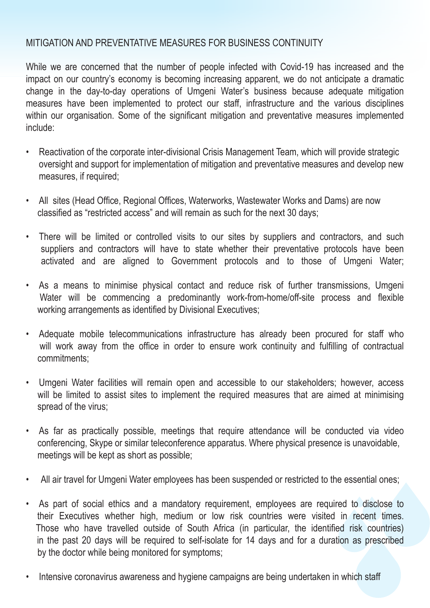### MITIGATION AND PREVENTATIVE MEASURES FOR BUSINESS CONTINUITY

While we are concerned that the number of people infected with Covid-19 has increased and the impact on our country's economy is becoming increasing apparent, we do not anticipate a dramatic change in the day-to-day operations of Umgeni Water's business because adequate mitigation measures have been implemented to protect our staff, infrastructure and the various disciplines within our organisation. Some of the significant mitigation and preventative measures implemented include:

- Reactivation of the corporate inter-divisional Crisis Management Team, which will provide strategic oversight and support for implementation of mitigation and preventative measures and develop new measures, if required;
- All sites (Head Office, Regional Offices, Waterworks, Wastewater Works and Dams) are now classified as "restricted access" and will remain as such for the next 30 days;
- There will be limited or controlled visits to our sites by suppliers and contractors, and such suppliers and contractors will have to state whether their preventative protocols have been activated and are aligned to Government protocols and to those of Umgeni Water;
- As a means to minimise physical contact and reduce risk of further transmissions, Umgeni Water will be commencing a predominantly work-from-home/off-site process and flexible working arrangements as identified by Divisional Executives;
- Adequate mobile telecommunications infrastructure has already been procured for staff who will work away from the office in order to ensure work continuity and fulfilling of contractual commitments;
- Umgeni Water facilities will remain open and accessible to our stakeholders; however, access will be limited to assist sites to implement the required measures that are aimed at minimising spread of the virus;
- As far as practically possible, meetings that require attendance will be conducted via video conferencing, Skype or similar teleconference apparatus. Where physical presence is unavoidable, meetings will be kept as short as possible;
- All air travel for Umgeni Water employees has been suspended or restricted to the essential ones;
- As part of social ethics and a mandatory requirement, employees are required to disclose to their Executives whether high, medium or low risk countries were visited in recent times. Those who have travelled outside of South Africa (in particular, the identified risk countries) in the past 20 days will be required to self-isolate for 14 days and for a duration as prescribed by the doctor while being monitored for symptoms;
- Intensive coronavirus awareness and hygiene campaigns are being undertaken in which staff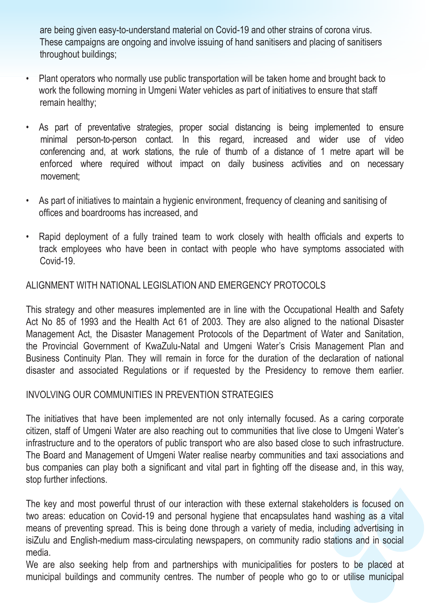are being given easy-to-understand material on Covid-19 and other strains of corona virus. These campaigns are ongoing and involve issuing of hand sanitisers and placing of sanitisers throughout buildings;

- Plant operators who normally use public transportation will be taken home and brought back to work the following morning in Umgeni Water vehicles as part of initiatives to ensure that staff remain healthy;
- As part of preventative strategies, proper social distancing is being implemented to ensure minimal person-to-person contact. In this regard, increased and wider use of video conferencing and, at work stations, the rule of thumb of a distance of 1 metre apart will be enforced where required without impact on daily business activities and on necessary movement;
- As part of initiatives to maintain a hygienic environment, frequency of cleaning and sanitising of offices and boardrooms has increased, and
- Rapid deployment of a fully trained team to work closely with health officials and experts to track employees who have been in contact with people who have symptoms associated with Covid-19.

## ALIGNMENT WITH NATIONAL LEGISLATION AND EMERGENCY PROTOCOLS

This strategy and other measures implemented are in line with the Occupational Health and Safety Act No 85 of 1993 and the Health Act 61 of 2003. They are also aligned to the national Disaster Management Act, the Disaster Management Protocols of the Department of Water and Sanitation, the Provincial Government of KwaZulu-Natal and Umgeni Water's Crisis Management Plan and Business Continuity Plan. They will remain in force for the duration of the declaration of national disaster and associated Regulations or if requested by the Presidency to remove them earlier.

### INVOLVING OUR COMMUNITIES IN PREVENTION STRATEGIES

The initiatives that have been implemented are not only internally focused. As a caring corporate citizen, staff of Umgeni Water are also reaching out to communities that live close to Umgeni Water's infrastructure and to the operators of public transport who are also based close to such infrastructure. The Board and Management of Umgeni Water realise nearby communities and taxi associations and bus companies can play both a significant and vital part in fighting off the disease and, in this way, stop further infections.

The key and most powerful thrust of our interaction with these external stakeholders is focused on two areas: education on Covid-19 and personal hygiene that encapsulates hand washing as a vital means of preventing spread. This is being done through a variety of media, including advertising in isiZulu and English-medium mass-circulating newspapers, on community radio stations and in social media.

We are also seeking help from and partnerships with municipalities for posters to be placed at municipal buildings and community centres. The number of people who go to or utilise municipal